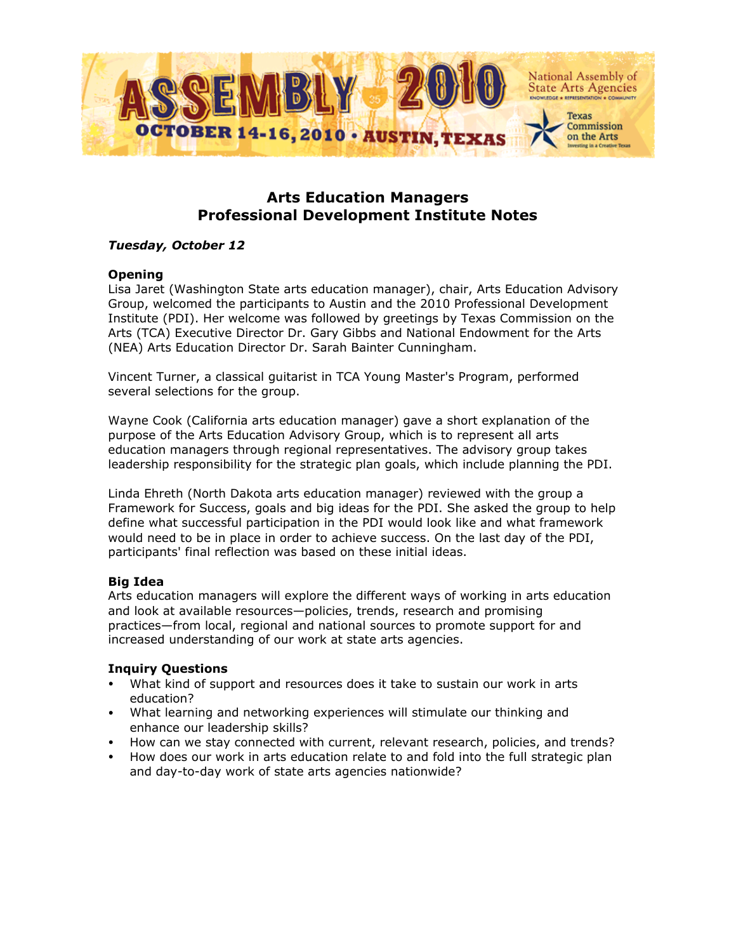

# **Arts Education Managers Professional Development Institute Notes**

## *Tuesday, October 12*

## **Opening**

Lisa Jaret (Washington State arts education manager), chair, Arts Education Advisory Group, welcomed the participants to Austin and the 2010 Professional Development Institute (PDI). Her welcome was followed by greetings by Texas Commission on the Arts (TCA) Executive Director Dr. Gary Gibbs and National Endowment for the Arts (NEA) Arts Education Director Dr. Sarah Bainter Cunningham.

Vincent Turner, a classical guitarist in TCA Young Master's Program, performed several selections for the group.

Wayne Cook (California arts education manager) gave a short explanation of the purpose of the Arts Education Advisory Group, which is to represent all arts education managers through regional representatives. The advisory group takes leadership responsibility for the strategic plan goals, which include planning the PDI.

Linda Ehreth (North Dakota arts education manager) reviewed with the group a Framework for Success, goals and big ideas for the PDI. She asked the group to help define what successful participation in the PDI would look like and what framework would need to be in place in order to achieve success. On the last day of the PDI, participants' final reflection was based on these initial ideas.

## **Big Idea**

Arts education managers will explore the different ways of working in arts education and look at available resources—policies, trends, research and promising practices—from local, regional and national sources to promote support for and increased understanding of our work at state arts agencies.

## **Inquiry Questions**

- What kind of support and resources does it take to sustain our work in arts education?
- What learning and networking experiences will stimulate our thinking and enhance our leadership skills?
- How can we stay connected with current, relevant research, policies, and trends?
- How does our work in arts education relate to and fold into the full strategic plan and day-to-day work of state arts agencies nationwide?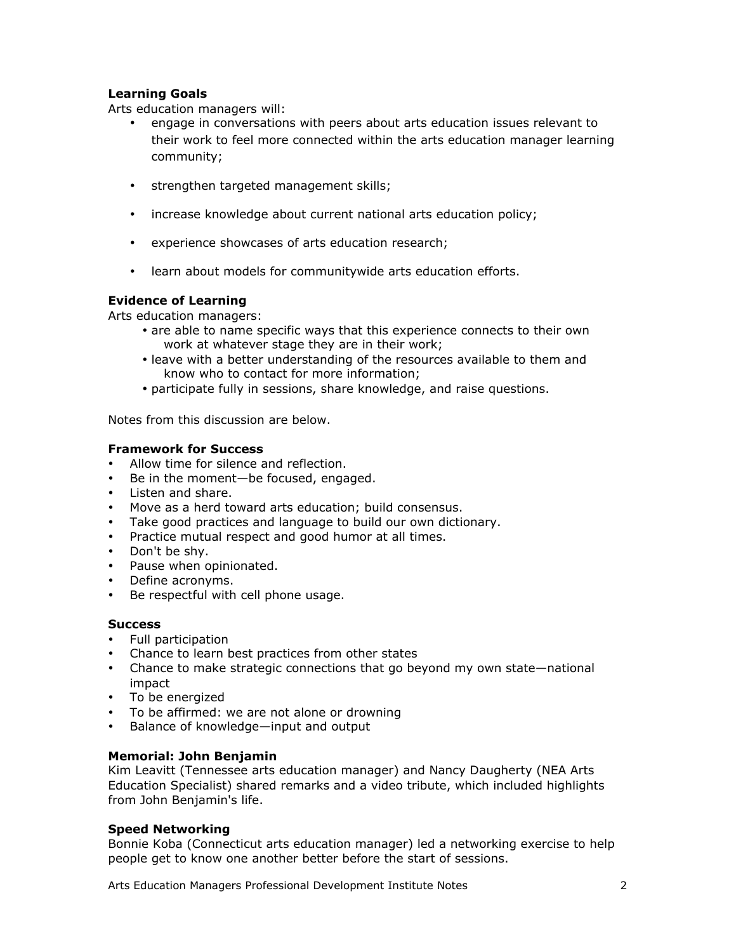## **Learning Goals**

Arts education managers will:

- engage in conversations with peers about arts education issues relevant to their work to feel more connected within the arts education manager learning community;
- strengthen targeted management skills;
- increase knowledge about current national arts education policy;
- experience showcases of arts education research;
- learn about models for communitywide arts education efforts.

## **Evidence of Learning**

Arts education managers:

- are able to name specific ways that this experience connects to their own work at whatever stage they are in their work;
- leave with a better understanding of the resources available to them and know who to contact for more information;
- participate fully in sessions, share knowledge, and raise questions.

Notes from this discussion are below.

## **Framework for Success**

- Allow time for silence and reflection.
- Be in the moment—be focused, engaged.
- Listen and share.
- Move as a herd toward arts education; build consensus.
- Take good practices and language to build our own dictionary.
- Practice mutual respect and good humor at all times.
- Don't be shy.
- Pause when opinionated.
- Define acronyms.
- Be respectful with cell phone usage.

## **Success**

- Full participation
- Chance to learn best practices from other states
- Chance to make strategic connections that go beyond my own state—national impact
- To be energized
- To be affirmed: we are not alone or drowning
- Balance of knowledge—input and output

## **Memorial: John Benjamin**

Kim Leavitt (Tennessee arts education manager) and Nancy Daugherty (NEA Arts Education Specialist) shared remarks and a video tribute, which included highlights from John Benjamin's life.

## **Speed Networking**

Bonnie Koba (Connecticut arts education manager) led a networking exercise to help people get to know one another better before the start of sessions.

Arts Education Managers Professional Development Institute Notes 2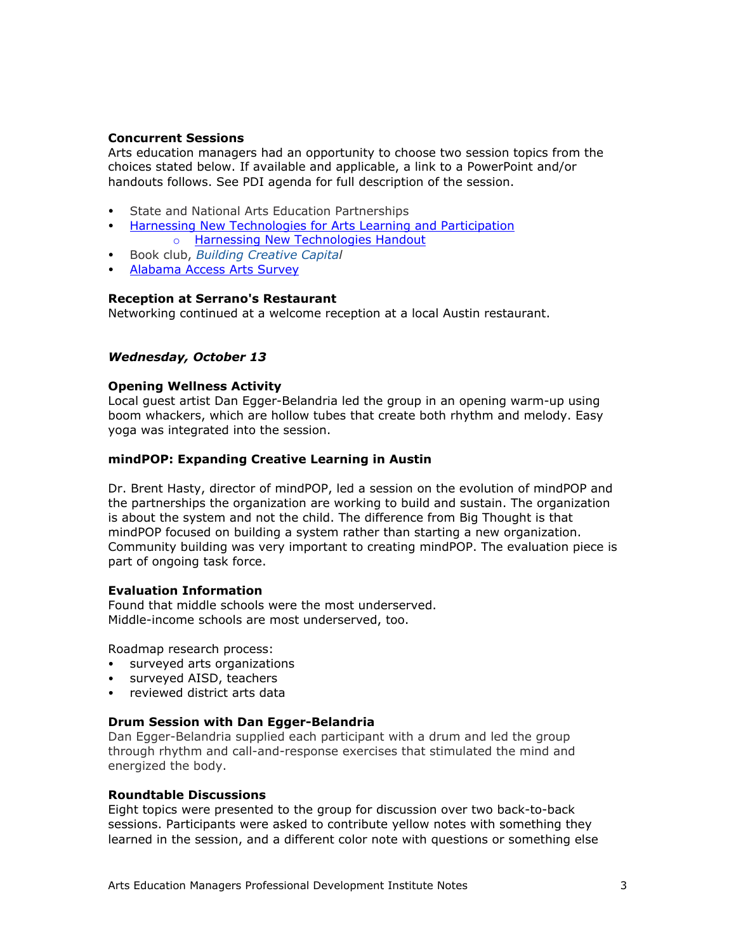## **Concurrent Sessions**

Arts education managers had an opportunity to choose two session topics from the choices stated below. If available and applicable, a link to a PowerPoint and/or handouts follows. See PDI agenda for full description of the session.

- State and National Arts Education Partnerships
- [Harnessing New Technologies for Arts Learning and Participation](http://www.nasaa-arts.org/Learning-Services/Past-Meetings/Assembly-2010-Proceedings/Harnessing-New-Technologies.pdf) o [Harnessing New Technologies Handout](http://www.nasaa-arts.org/Learning-Services/Past-Meetings/Assembly-2010-Proceedings/Harnessing-New-Technologies-Handout.pdf)
- Book club, *[Building Creative Capital](http://www.wolfbrown.com/whitepaper/WB_BuildingCreativeCapital.pdf)*
- [Alabama Access Arts Survey](http://www.nasaa-arts.org/Learning-Services/Past-Meetings/Assembly-2010-Proceedings/Alabama-Access-Arts-Survey.pdf)

### **Reception at Serrano's Restaurant**

Networking continued at a welcome reception at a local Austin restaurant.

### *Wednesday, October 13*

### **Opening Wellness Activity**

Local guest artist Dan Egger-Belandria led the group in an opening warm-up using boom whackers, which are hollow tubes that create both rhythm and melody. Easy yoga was integrated into the session.

### **mindPOP: Expanding Creative Learning in Austin**

Dr. Brent Hasty, director of mindPOP, led a session on the evolution of mindPOP and the partnerships the organization are working to build and sustain. The organization is about the system and not the child. The difference from Big Thought is that mindPOP focused on building a system rather than starting a new organization. Community building was very important to creating mindPOP. The evaluation piece is part of ongoing task force.

### **Evaluation Information**

Found that middle schools were the most underserved. Middle-income schools are most underserved, too.

Roadmap research process:

- surveyed arts organizations
- surveyed AISD, teachers
- reviewed district arts data

### **Drum Session with Dan Egger-Belandria**

Dan Egger-Belandria supplied each participant with a drum and led the group through rhythm and call-and-response exercises that stimulated the mind and energized the body.

### **Roundtable Discussions**

Eight topics were presented to the group for discussion over two back-to-back sessions. Participants were asked to contribute yellow notes with something they learned in the session, and a different color note with questions or something else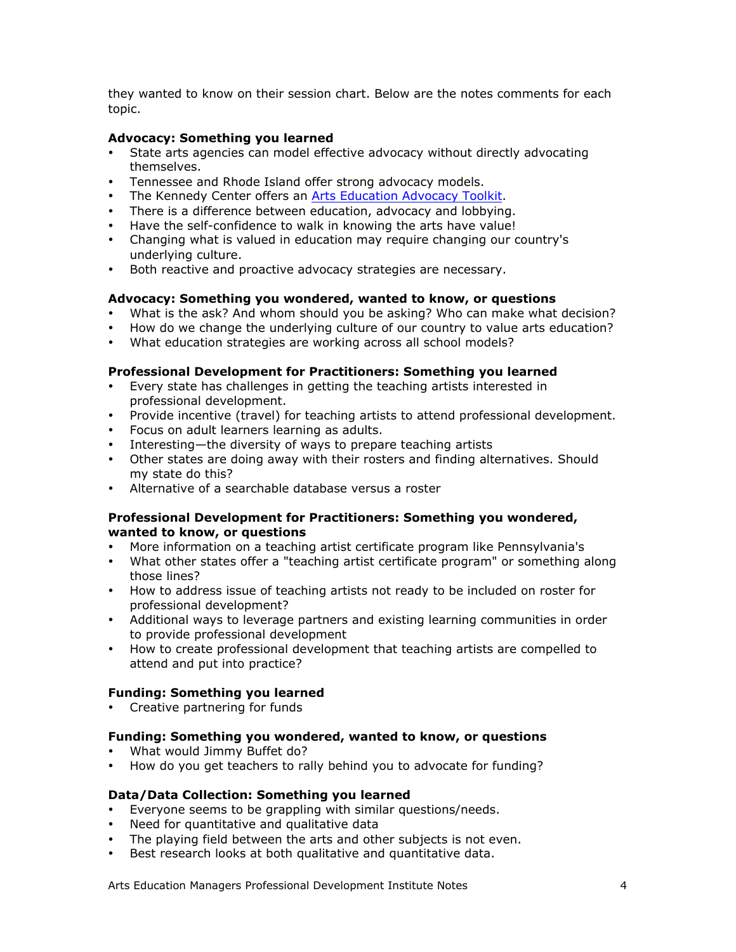they wanted to know on their session chart. Below are the notes comments for each topic.

## **Advocacy: Something you learned**

- State arts agencies can model effective advocacy without directly advocating themselves.
- Tennessee and Rhode Island offer strong advocacy models.
- The Kennedy Center offers an [Arts Education Advocacy Toolkit.](http://www.kennedy-center.org/education/kcaaen/resources/ArtsEducationAdvocacyToolkit.pdf)
- There is a difference between education, advocacy and lobbying.
- Have the self-confidence to walk in knowing the arts have value!
- Changing what is valued in education may require changing our country's underlying culture.
- Both reactive and proactive advocacy strategies are necessary.

## **Advocacy: Something you wondered, wanted to know, or questions**

- What is the ask? And whom should you be asking? Who can make what decision?
- How do we change the underlying culture of our country to value arts education?
- What education strategies are working across all school models?

## **Professional Development for Practitioners: Something you learned**

- Every state has challenges in getting the teaching artists interested in professional development.
- Provide incentive (travel) for teaching artists to attend professional development.
- Focus on adult learners learning as adults.
- Interesting—the diversity of ways to prepare teaching artists
- Other states are doing away with their rosters and finding alternatives. Should my state do this?
- Alternative of a searchable database versus a roster

## **Professional Development for Practitioners: Something you wondered, wanted to know, or questions**

- More information on a teaching artist certificate program like Pennsylvania's
- What other states offer a "teaching artist certificate program" or something along those lines?
- How to address issue of teaching artists not ready to be included on roster for professional development?
- Additional ways to leverage partners and existing learning communities in order to provide professional development
- How to create professional development that teaching artists are compelled to attend and put into practice?

## **Funding: Something you learned**

Creative partnering for funds

## **Funding: Something you wondered, wanted to know, or questions**

- What would Jimmy Buffet do?
- How do you get teachers to rally behind you to advocate for funding?

## **Data/Data Collection: Something you learned**

- Everyone seems to be grappling with similar questions/needs.
- Need for quantitative and qualitative data
- The playing field between the arts and other subjects is not even.
- Best research looks at both qualitative and quantitative data.

Arts Education Managers Professional Development Institute Notes 4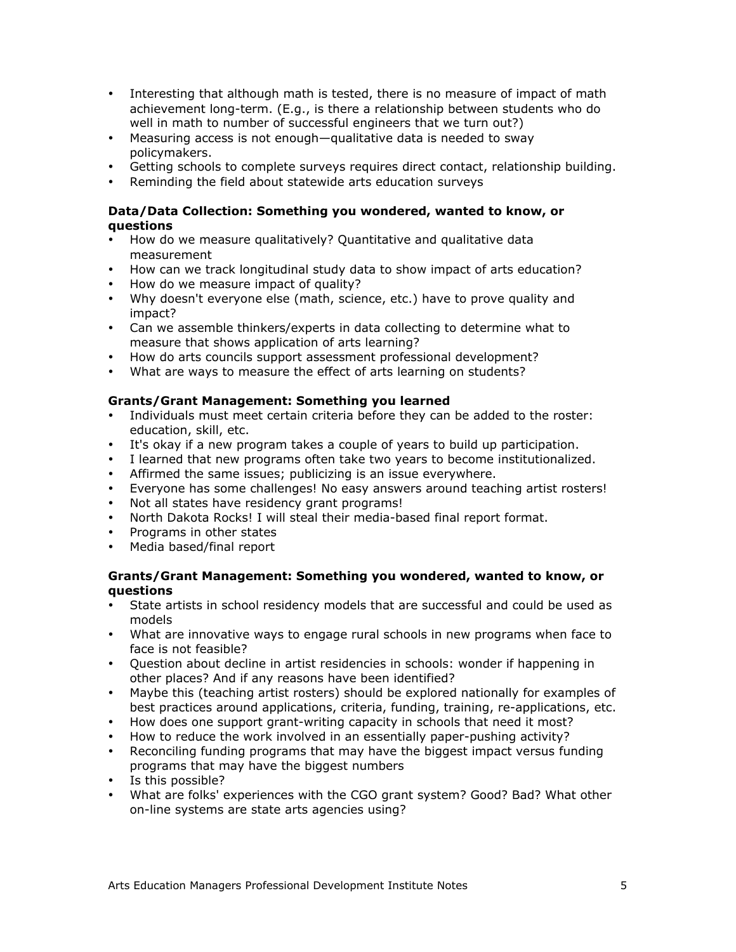- Interesting that although math is tested, there is no measure of impact of math achievement long-term. (E.g., is there a relationship between students who do well in math to number of successful engineers that we turn out?)
- Measuring access is not enough—qualitative data is needed to sway policymakers.
- Getting schools to complete surveys requires direct contact, relationship building.
- Reminding the field about statewide arts education surveys

## **Data/Data Collection: Something you wondered, wanted to know, or questions**

- How do we measure qualitatively? Quantitative and qualitative data measurement
- How can we track longitudinal study data to show impact of arts education?
- How do we measure impact of quality?
- Why doesn't everyone else (math, science, etc.) have to prove quality and impact?
- Can we assemble thinkers/experts in data collecting to determine what to measure that shows application of arts learning?
- How do arts councils support assessment professional development?
- What are ways to measure the effect of arts learning on students?

## **Grants/Grant Management: Something you learned**

- Individuals must meet certain criteria before they can be added to the roster: education, skill, etc.
- It's okay if a new program takes a couple of years to build up participation.
- I learned that new programs often take two years to become institutionalized.
- Affirmed the same issues; publicizing is an issue everywhere.
- Everyone has some challenges! No easy answers around teaching artist rosters!
- Not all states have residency grant programs!
- North Dakota Rocks! I will steal their media-based final report format.
- Programs in other states
- Media based/final report

## **Grants/Grant Management: Something you wondered, wanted to know, or questions**

- State artists in school residency models that are successful and could be used as models
- What are innovative ways to engage rural schools in new programs when face to face is not feasible?
- Question about decline in artist residencies in schools: wonder if happening in other places? And if any reasons have been identified?
- Maybe this (teaching artist rosters) should be explored nationally for examples of best practices around applications, criteria, funding, training, re-applications, etc.
- How does one support grant-writing capacity in schools that need it most?
- How to reduce the work involved in an essentially paper-pushing activity?
- Reconciling funding programs that may have the biggest impact versus funding programs that may have the biggest numbers
- Is this possible?
- What are folks' experiences with the CGO grant system? Good? Bad? What other on-line systems are state arts agencies using?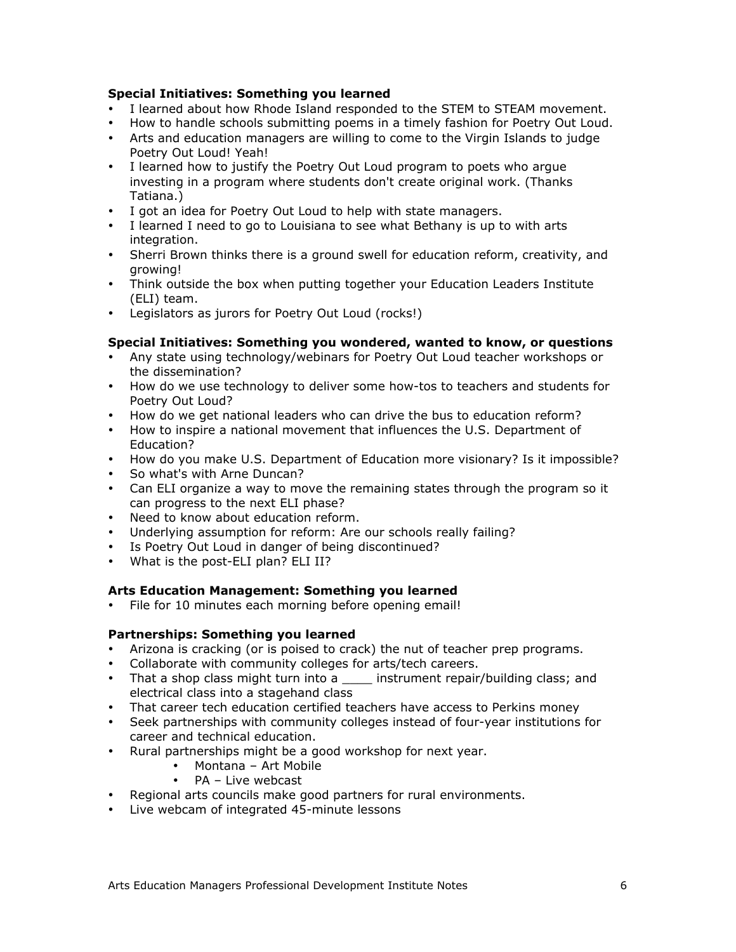## **Special Initiatives: Something you learned**

- I learned about how Rhode Island responded to the STEM to STEAM movement.
- How to handle schools submitting poems in a timely fashion for Poetry Out Loud.
- Arts and education managers are willing to come to the Virgin Islands to judge Poetry Out Loud! Yeah!
- I learned how to justify the Poetry Out Loud program to poets who argue investing in a program where students don't create original work. (Thanks Tatiana.)
- I got an idea for Poetry Out Loud to help with state managers.
- I learned I need to go to Louisiana to see what Bethany is up to with arts integration.
- Sherri Brown thinks there is a ground swell for education reform, creativity, and growing!
- Think outside the box when putting together your Education Leaders Institute (ELI) team.
- Legislators as jurors for Poetry Out Loud (rocks!)

## **Special Initiatives: Something you wondered, wanted to know, or questions**

- Any state using technology/webinars for Poetry Out Loud teacher workshops or the dissemination?
- How do we use technology to deliver some how-tos to teachers and students for Poetry Out Loud?
- How do we get national leaders who can drive the bus to education reform?
- How to inspire a national movement that influences the U.S. Department of Education?
- How do you make U.S. Department of Education more visionary? Is it impossible?
- So what's with Arne Duncan?
- Can ELI organize a way to move the remaining states through the program so it can progress to the next ELI phase?
- Need to know about education reform.
- Underlying assumption for reform: Are our schools really failing?
- Is Poetry Out Loud in danger of being discontinued?
- What is the post-ELI plan? ELI II?

## **Arts Education Management: Something you learned**

File for 10 minutes each morning before opening email!

## **Partnerships: Something you learned**

- Arizona is cracking (or is poised to crack) the nut of teacher prep programs.
- Collaborate with community colleges for arts/tech careers.
- That a shop class might turn into a \_\_\_\_\_ instrument repair/building class; and electrical class into a stagehand class
- That career tech education certified teachers have access to Perkins money
- Seek partnerships with community colleges instead of four-year institutions for career and technical education.
- Rural partnerships might be a good workshop for next year.
	- Montana Art Mobile
	- PA Live webcast
- Regional arts councils make good partners for rural environments.
- Live webcam of integrated 45-minute lessons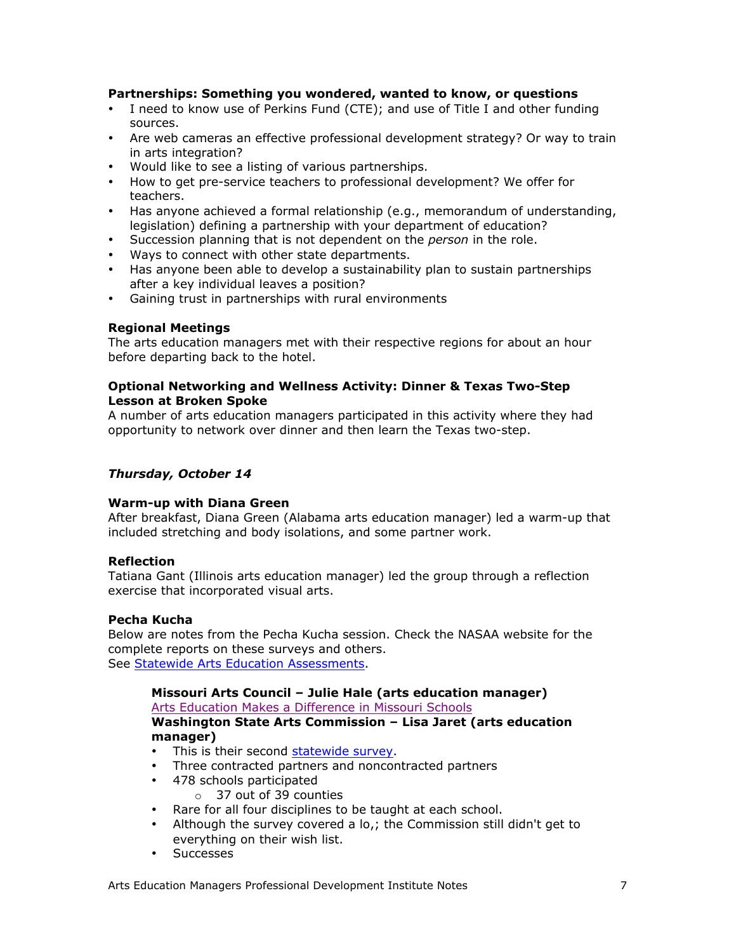## **Partnerships: Something you wondered, wanted to know, or questions**

- I need to know use of Perkins Fund (CTE); and use of Title I and other funding sources.
- Are web cameras an effective professional development strategy? Or way to train in arts integration?
- Would like to see a listing of various partnerships.
- How to get pre-service teachers to professional development? We offer for teachers.
- Has anyone achieved a formal relationship (e.g., memorandum of understanding, legislation) defining a partnership with your department of education?
- Succession planning that is not dependent on the *person* in the role.
- Ways to connect with other state departments.
- Has anyone been able to develop a sustainability plan to sustain partnerships after a key individual leaves a position?
- Gaining trust in partnerships with rural environments

### **Regional Meetings**

The arts education managers met with their respective regions for about an hour before departing back to the hotel.

### **Optional Networking and Wellness Activity: Dinner & Texas Two-Step Lesson at Broken Spoke**

A number of arts education managers participated in this activity where they had opportunity to network over dinner and then learn the Texas two-step.

### *Thursday, October 14*

### **Warm-up with Diana Green**

After breakfast, Diana Green (Alabama arts education manager) led a warm-up that included stretching and body isolations, and some partner work.

### **Reflection**

Tatiana Gant (Illinois arts education manager) led the group through a reflection exercise that incorporated visual arts.

### **Pecha Kucha**

Below are notes from the Pecha Kucha session. Check the NASAA website for the complete reports on these surveys and others. Se[e Statewide Arts Education Assessments.](http://www.westaf.org/pdfs/SAEA_5_26_10_web-1.pdf)

# **Missouri Arts Council – Julie Hale (arts education manager)**

[Arts Education Makes a Difference in Missouri Schools](http://www.nasaa-arts.org/Learning-Services/Past-Meetings/Assembly-2010-Proceedings/AE-Makes-a-Difference-in-MO-Schools.pdf)

**Washington State Arts Commission – Lisa Jaret (arts education manager)**

- This is their second [statewide survey.](http://www.arts.wa.gov/education/aeri.shtml)
- Three contracted partners and noncontracted partners
- 478 schools participated
	- o 37 out of 39 counties
- Rare for all four disciplines to be taught at each school.
- Although the survey covered a lo,; the Commission still didn't get to everything on their wish list.
- Successes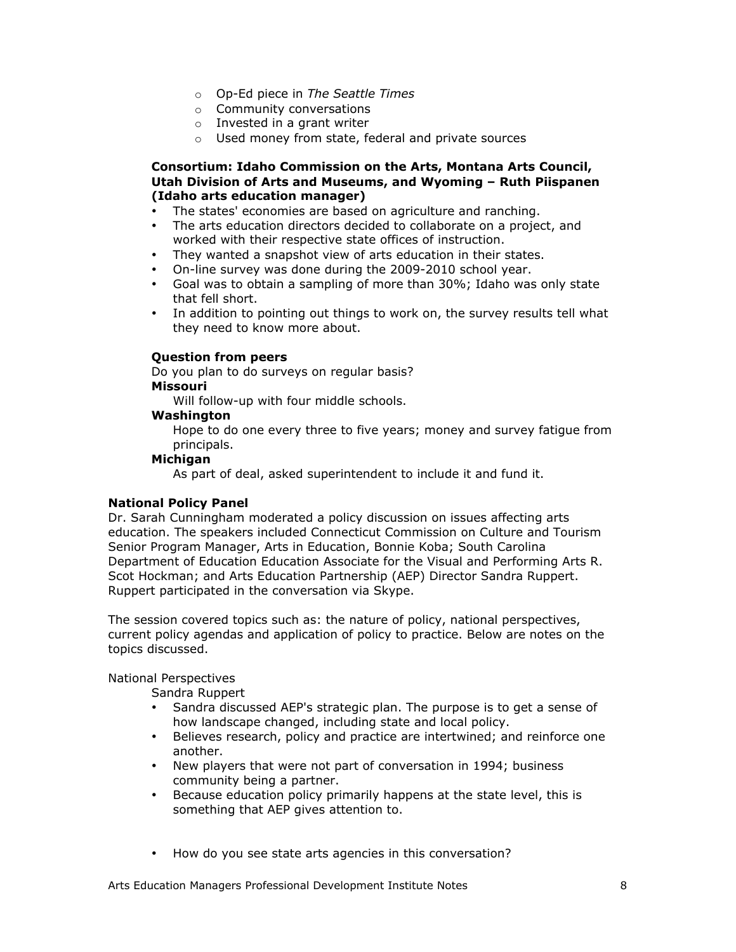- o Op-Ed piece in *The Seattle Times*
- o Community conversations
- o Invested in a grant writer
- o Used money from state, federal and private sources

### **Consortium: Idaho Commission on the Arts, Montana Arts Council, Utah Division of Arts and Museums, and Wyoming – Ruth Piispanen (Idaho arts education manager)**

- The states' economies are based on agriculture and ranching.
- The arts education directors decided to collaborate on a project, and worked with their respective state offices of instruction.
- They wanted a snapshot view of arts education in their states.
- On-line survey was done during the 2009-2010 school year.
- Goal was to obtain a sampling of more than 30%; Idaho was only state that fell short.
- In addition to pointing out things to work on, the survey results tell what they need to know more about.

### **Question from peers**

Do you plan to do surveys on regular basis? **Missouri**

Will follow-up with four middle schools.

### **Washington**

Hope to do one every three to five years; money and survey fatigue from principals.

### **Michigan**

As part of deal, asked superintendent to include it and fund it.

## **National Policy Panel**

Dr. Sarah Cunningham moderated a policy discussion on issues affecting arts education. The speakers included Connecticut Commission on Culture and Tourism Senior Program Manager, Arts in Education, Bonnie Koba; South Carolina Department of Education Education Associate for the Visual and Performing Arts R. Scot Hockman; and Arts Education Partnership (AEP) Director Sandra Ruppert. Ruppert participated in the conversation via Skype.

The session covered topics such as: the nature of policy, national perspectives, current policy agendas and application of policy to practice. Below are notes on the topics discussed.

National Perspectives

Sandra Ruppert

- Sandra discussed AEP's strategic plan. The purpose is to get a sense of how landscape changed, including state and local policy.
- Believes research, policy and practice are intertwined; and reinforce one another.
- New players that were not part of conversation in 1994; business community being a partner.
- Because education policy primarily happens at the state level, this is something that AEP gives attention to.
- How do you see state arts agencies in this conversation?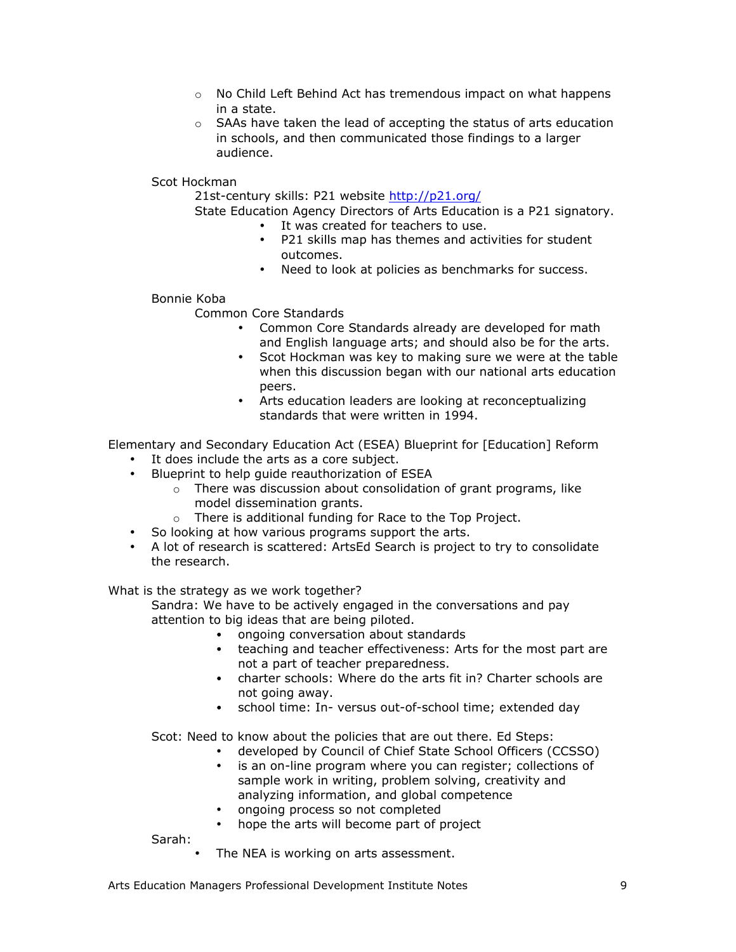- $\circ$  No Child Left Behind Act has tremendous impact on what happens in a state.
- $\circ$  SAAs have taken the lead of accepting the status of arts education in schools, and then communicated those findings to a larger audience.

Scot Hockman

21st-century skills: P21 website http://p21.org/

State Education Agency Directors of Arts Education is a P21 signatory.

- It was created for teachers to use.
- P21 skills map has themes and activities for student outcomes.
- Need to look at policies as benchmarks for success.

### Bonnie Koba

Common Core Standards

- Common Core Standards already are developed for math and English language arts; and should also be for the arts.
- Scot Hockman was key to making sure we were at the table when this discussion began with our national arts education peers.
- Arts education leaders are looking at reconceptualizing standards that were written in 1994.

Elementary and Secondary Education Act (ESEA) Blueprint for [Education] Reform

- It does include the arts as a core subject.
- Blueprint to help guide reauthorization of ESEA
	- o There was discussion about consolidation of grant programs, like model dissemination grants.
	- o There is additional funding for Race to the Top Project.
- So looking at how various programs support the arts.
- A lot of research is scattered: ArtsEd Search is project to try to consolidate the research.

What is the strategy as we work together?

Sandra: We have to be actively engaged in the conversations and pay attention to big ideas that are being piloted.

- ongoing conversation about standards
- teaching and teacher effectiveness: Arts for the most part are not a part of teacher preparedness.
- charter schools: Where do the arts fit in? Charter schools are not going away.
- school time: In- versus out-of-school time; extended day

Scot: Need to know about the policies that are out there. Ed Steps:

- developed by Council of Chief State School Officers (CCSSO)
- is an on-line program where you can register; collections of sample work in writing, problem solving, creativity and analyzing information, and global competence
- ongoing process so not completed
- hope the arts will become part of project

Sarah:

The NEA is working on arts assessment.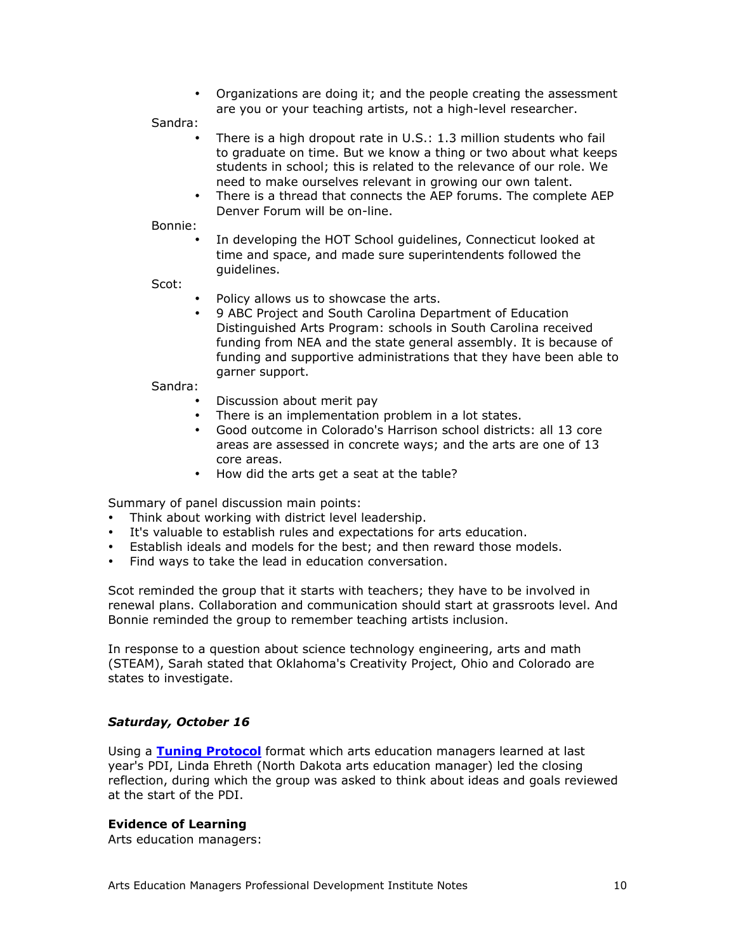• Organizations are doing it; and the people creating the assessment are you or your teaching artists, not a high-level researcher.

Sandra:

- There is a high dropout rate in U.S.: 1.3 million students who fail to graduate on time. But we know a thing or two about what keeps students in school; this is related to the relevance of our role. We need to make ourselves relevant in growing our own talent.
- There is a thread that connects the AEP forums. The complete AEP Denver Forum will be on-line.

Bonnie:

In developing the HOT School guidelines, Connecticut looked at time and space, and made sure superintendents followed the guidelines.

Scot:

- Policy allows us to showcase the arts.
- 9 ABC Project and South Carolina Department of Education Distinguished Arts Program: schools in South Carolina received funding from NEA and the state general assembly. It is because of funding and supportive administrations that they have been able to garner support.

Sandra:

- Discussion about merit pay
- There is an implementation problem in a lot states.
- Good outcome in Colorado's Harrison school districts: all 13 core areas are assessed in concrete ways; and the arts are one of 13 core areas.
- How did the arts get a seat at the table?

Summary of panel discussion main points:

- Think about working with district level leadership.
- It's valuable to establish rules and expectations for arts education.
- Establish ideals and models for the best; and then reward those models.
- Find ways to take the lead in education conversation.

Scot reminded the group that it starts with teachers; they have to be involved in renewal plans. Collaboration and communication should start at grassroots level. And Bonnie reminded the group to remember teaching artists inclusion.

In response to a question about science technology engineering, arts and math (STEAM), Sarah stated that Oklahoma's Creativity Project, Ohio and Colorado are states to investigate.

### *Saturday, October 16*

Using a **[Tuning Protocol](http://www.mcae.k12.mn.us/pdr/artfulteach.html)** format which arts education managers learned at last year's PDI, Linda Ehreth (North Dakota arts education manager) led the closing reflection, during which the group was asked to think about ideas and goals reviewed at the start of the PDI.

### **Evidence of Learning**

Arts education managers: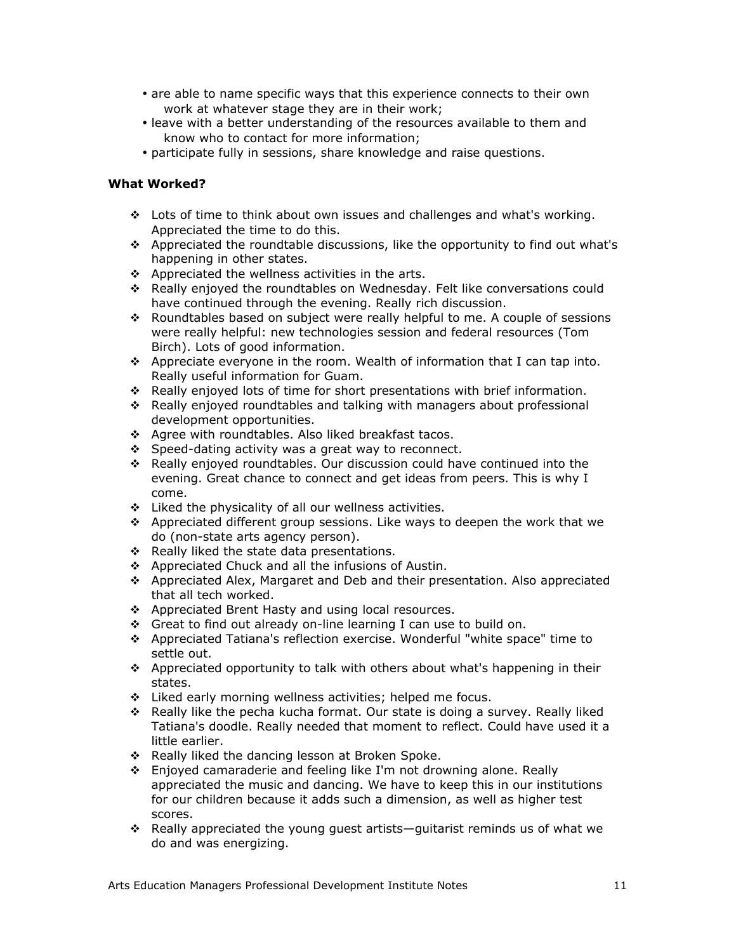- are able to name specific ways that this experience connects to their own work at whatever stage they are in their work;
- leave with a better understanding of the resources available to them and know who to contact for more information;
- participate fully in sessions, share knowledge and raise questions.

## **What Worked?**

- ❖ Lots of time to think about own issues and challenges and what's working. Appreciated the time to do this.
- \* Appreciated the roundtable discussions, like the opportunity to find out what's happening in other states.
- $\triangle$  Appreciated the wellness activities in the arts.
- Really enjoyed the roundtables on Wednesday. Felt like conversations could have continued through the evening. Really rich discussion.
- Roundtables based on subject were really helpful to me. A couple of sessions were really helpful: new technologies session and federal resources (Tom Birch). Lots of good information.
- $\bullet$  Appreciate everyone in the room. Wealth of information that I can tap into. Really useful information for Guam.
- \* Really enjoyed lots of time for short presentations with brief information.
- Really enjoyed roundtables and talking with managers about professional development opportunities.
- \* Agree with roundtables. Also liked breakfast tacos.
- ❖ Speed-dating activity was a great way to reconnect.
- Really enjoyed roundtables. Our discussion could have continued into the evening. Great chance to connect and get ideas from peers. This is why I come.
- ❖ Liked the physicality of all our wellness activities.
- \* Appreciated different group sessions. Like ways to deepen the work that we do (non-state arts agency person).
- \* Really liked the state data presentations.
- Appreciated Chuck and all the infusions of Austin.
- ❖ Appreciated Alex, Margaret and Deb and their presentation. Also appreciated that all tech worked.
- Appreciated Brent Hasty and using local resources.
- Great to find out already on-line learning I can use to build on.
- Appreciated Tatiana's reflection exercise. Wonderful "white space" time to settle out.
- Appreciated opportunity to talk with others about what's happening in their states.
- \* Liked early morning wellness activities; helped me focus.
- Really like the pecha kucha format. Our state is doing a survey. Really liked Tatiana's doodle. Really needed that moment to reflect. Could have used it a little earlier.
- \* Really liked the dancing lesson at Broken Spoke.
- Enjoyed camaraderie and feeling like I'm not drowning alone. Really appreciated the music and dancing. We have to keep this in our institutions for our children because it adds such a dimension, as well as higher test scores.
- $\div$  Really appreciated the young quest artists—quitarist reminds us of what we do and was energizing.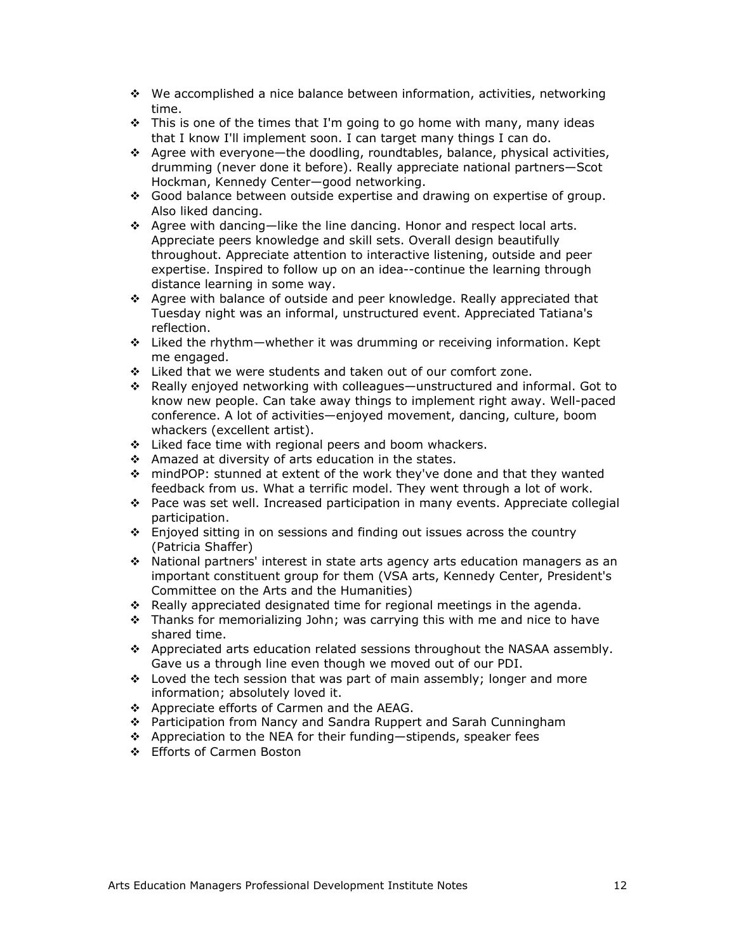- $\cdot$  We accomplished a nice balance between information, activities, networking time.
- \* This is one of the times that I'm going to go home with many, many ideas that I know I'll implement soon. I can target many things I can do.
- Agree with everyone—the doodling, roundtables, balance, physical activities, drumming (never done it before). Really appreciate national partners—Scot Hockman, Kennedy Center—good networking.
- Good balance between outside expertise and drawing on expertise of group. Also liked dancing.
- Agree with dancing—like the line dancing. Honor and respect local arts. Appreciate peers knowledge and skill sets. Overall design beautifully throughout. Appreciate attention to interactive listening, outside and peer expertise. Inspired to follow up on an idea--continue the learning through distance learning in some way.
- Agree with balance of outside and peer knowledge. Really appreciated that Tuesday night was an informal, unstructured event. Appreciated Tatiana's reflection.
- Liked the rhythm—whether it was drumming or receiving information. Kept me engaged.
- Liked that we were students and taken out of our comfort zone.
- Really enjoyed networking with colleagues—unstructured and informal. Got to know new people. Can take away things to implement right away. Well-paced conference. A lot of activities—enjoyed movement, dancing, culture, boom whackers (excellent artist).
- $\div$  Liked face time with regional peers and boom whackers.
- \* Amazed at diversity of arts education in the states.
- $\div$  mindPOP: stunned at extent of the work they've done and that they wanted feedback from us. What a terrific model. They went through a lot of work.
- $\cdot \cdot$  Pace was set well. Increased participation in many events. Appreciate collegial participation.
- \* Enjoyed sitting in on sessions and finding out issues across the country (Patricia Shaffer)
- National partners' interest in state arts agency arts education managers as an important constituent group for them (VSA arts, Kennedy Center, President's Committee on the Arts and the Humanities)
- Really appreciated designated time for regional meetings in the agenda.
- $\cdot$  Thanks for memorializing John; was carrying this with me and nice to have shared time.
- \* Appreciated arts education related sessions throughout the NASAA assembly. Gave us a through line even though we moved out of our PDI.
- $\div$  Loved the tech session that was part of main assembly; longer and more information; absolutely loved it.
- ❖ Appreciate efforts of Carmen and the AEAG.
- ◆ Participation from Nancy and Sandra Ruppert and Sarah Cunningham
- ❖ Appreciation to the NEA for their funding—stipends, speaker fees
- ❖ Efforts of Carmen Boston